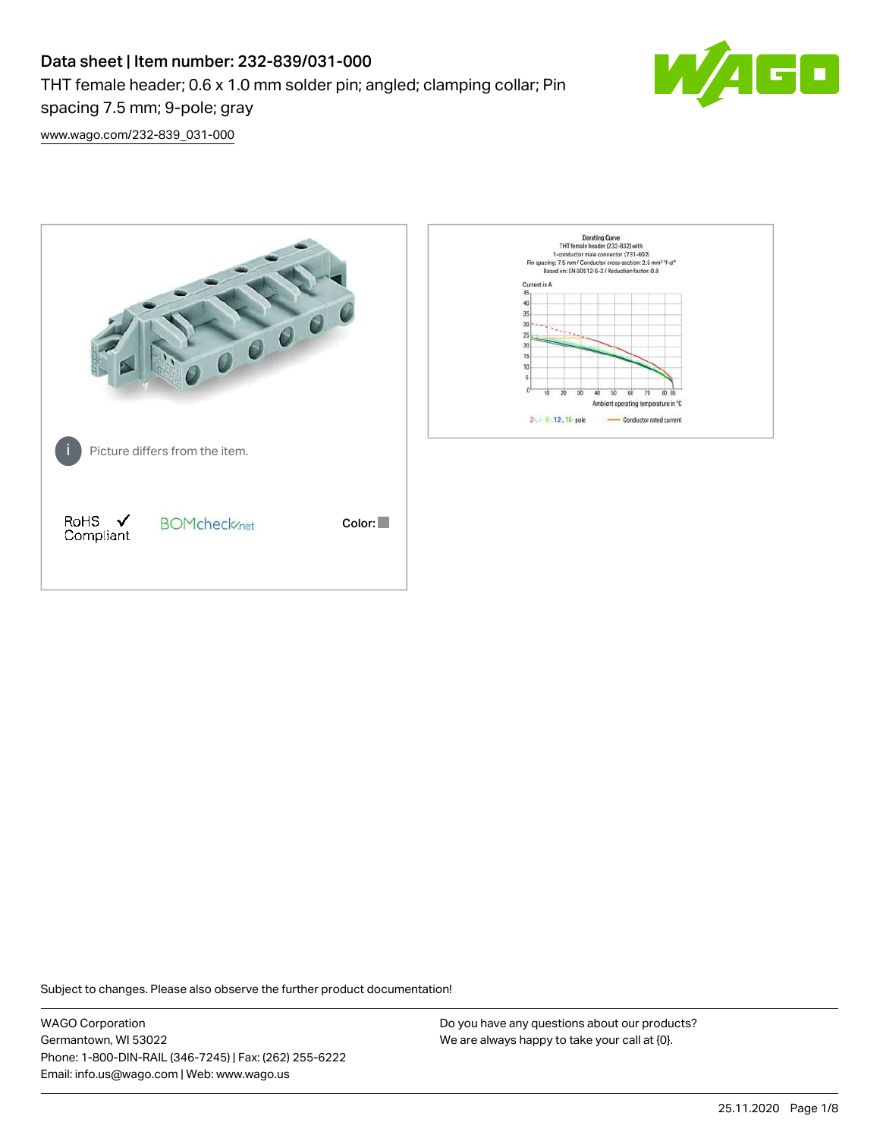# Data sheet | Item number: 232-839/031-000

THT female header; 0.6 x 1.0 mm solder pin; angled; clamping collar; Pin



[www.wago.com/232-839\\_031-000](http://www.wago.com/232-839_031-000)

spacing 7.5 mm; 9-pole; gray



Subject to changes. Please also observe the further product documentation!

WAGO Corporation Germantown, WI 53022 Phone: 1-800-DIN-RAIL (346-7245) | Fax: (262) 255-6222 Email: info.us@wago.com | Web: www.wago.us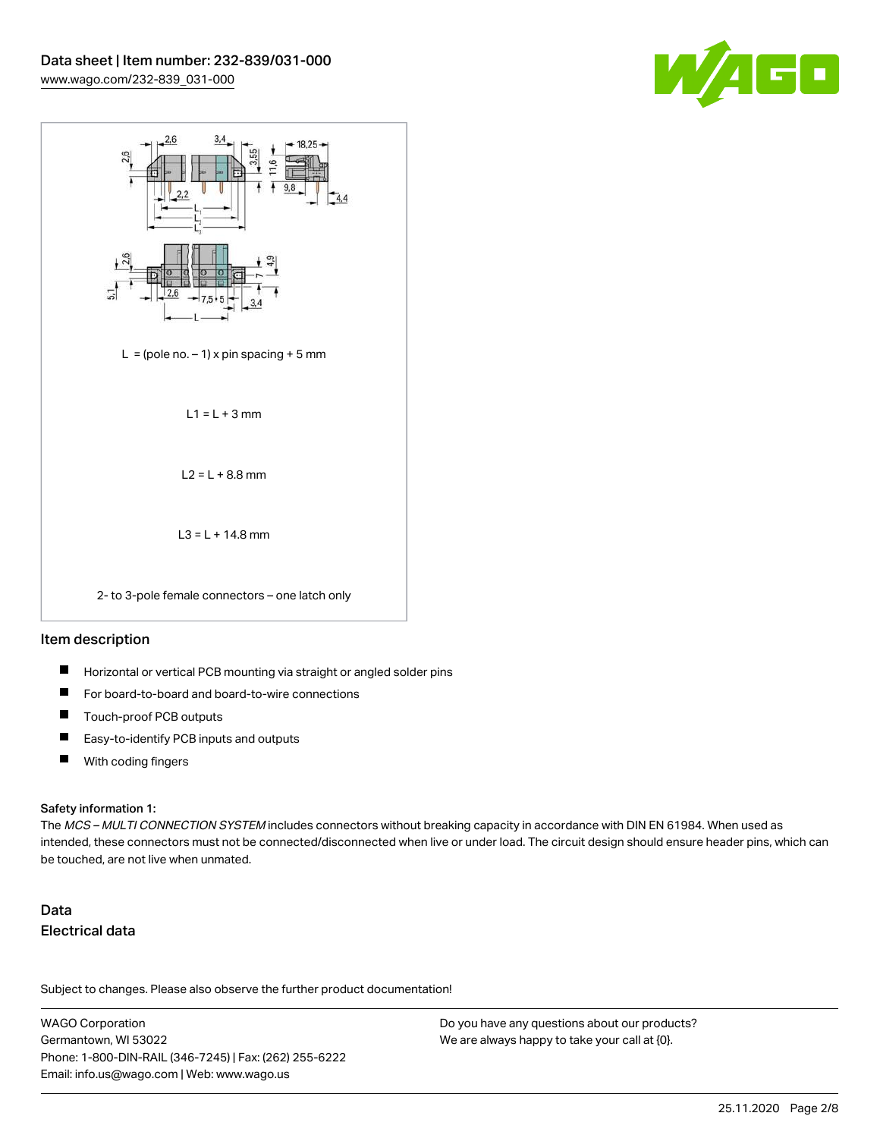



## Item description

- П Horizontal or vertical PCB mounting via straight or angled solder pins
- П For board-to-board and board-to-wire connections
- П Touch-proof PCB outputs
- $\blacksquare$ Easy-to-identify PCB inputs and outputs
- $\blacksquare$ With coding fingers

#### Safety information 1:

The MCS - MULTI CONNECTION SYSTEM includes connectors without breaking capacity in accordance with DIN EN 61984. When used as intended, these connectors must not be connected/disconnected when live or under load. The circuit design should ensure header pins, which can be touched, are not live when unmated.

# Data Electrical data

Subject to changes. Please also observe the further product documentation!

WAGO Corporation Germantown, WI 53022 Phone: 1-800-DIN-RAIL (346-7245) | Fax: (262) 255-6222 Email: info.us@wago.com | Web: www.wago.us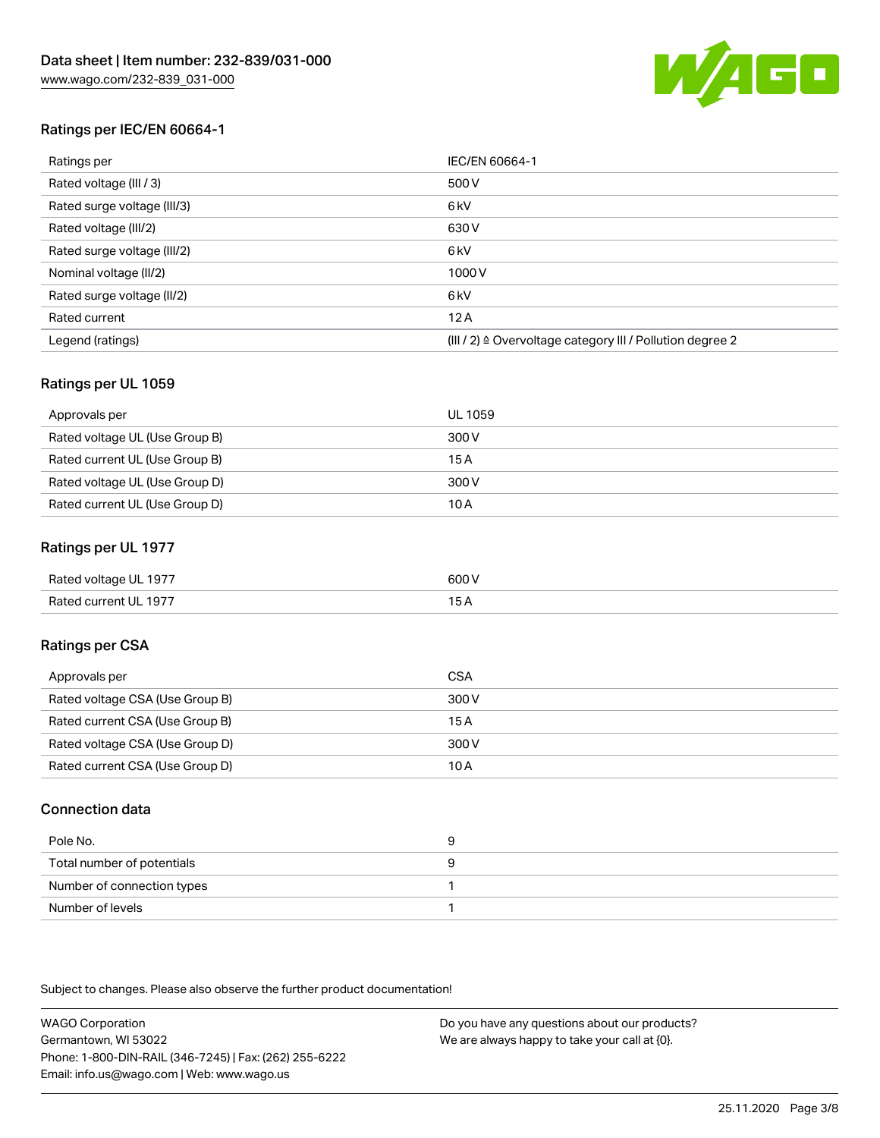

# Ratings per IEC/EN 60664-1

| Ratings per                 | IEC/EN 60664-1                                            |
|-----------------------------|-----------------------------------------------------------|
| Rated voltage (III / 3)     | 500 V                                                     |
| Rated surge voltage (III/3) | 6 <sub>kV</sub>                                           |
| Rated voltage (III/2)       | 630 V                                                     |
| Rated surge voltage (III/2) | 6 <sub>kV</sub>                                           |
| Nominal voltage (II/2)      | 1000 V                                                    |
| Rated surge voltage (II/2)  | 6 <sub>kV</sub>                                           |
| Rated current               | 12A                                                       |
| Legend (ratings)            | (III / 2) ≙ Overvoltage category III / Pollution degree 2 |

# Ratings per UL 1059

| Approvals per                  | UL 1059 |
|--------------------------------|---------|
| Rated voltage UL (Use Group B) | 300 V   |
| Rated current UL (Use Group B) | 15 A    |
| Rated voltage UL (Use Group D) | 300 V   |
| Rated current UL (Use Group D) | 10 A    |

## Ratings per UL 1977

| Rated voltage UL 1977 | 600 V |
|-----------------------|-------|
| Rated current UL 1977 |       |

# Ratings per CSA

| Approvals per                   | CSA   |
|---------------------------------|-------|
| Rated voltage CSA (Use Group B) | 300 V |
| Rated current CSA (Use Group B) | 15 A  |
| Rated voltage CSA (Use Group D) | 300 V |
| Rated current CSA (Use Group D) | 10 A  |

## Connection data

| Pole No.                   |  |
|----------------------------|--|
| Total number of potentials |  |
| Number of connection types |  |
| Number of levels           |  |

Subject to changes. Please also observe the further product documentation!

WAGO Corporation Germantown, WI 53022 Phone: 1-800-DIN-RAIL (346-7245) | Fax: (262) 255-6222 Email: info.us@wago.com | Web: www.wago.us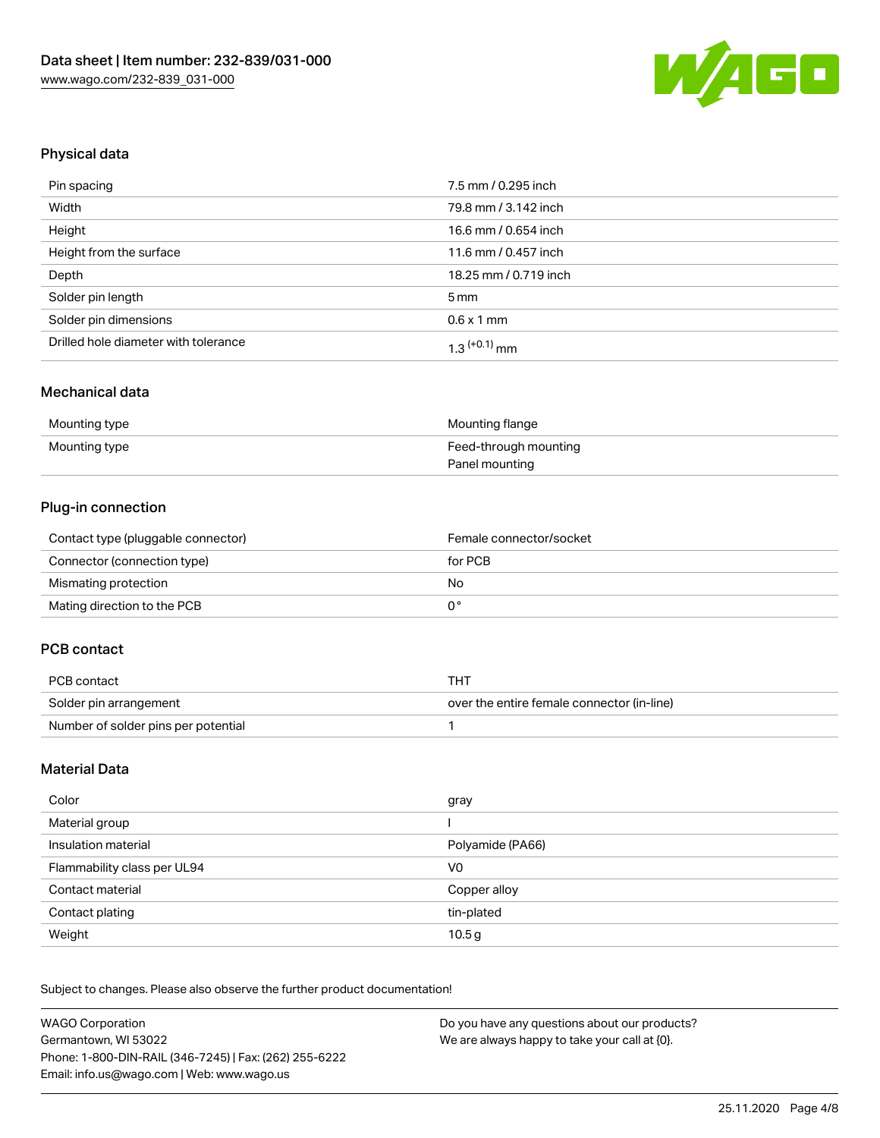

## Physical data

| Pin spacing                          | 7.5 mm / 0.295 inch   |
|--------------------------------------|-----------------------|
| Width                                | 79.8 mm / 3.142 inch  |
| Height                               | 16.6 mm / 0.654 inch  |
| Height from the surface              | 11.6 mm / 0.457 inch  |
| Depth                                | 18.25 mm / 0.719 inch |
| Solder pin length                    | $5 \,\mathrm{mm}$     |
| Solder pin dimensions                | $0.6 \times 1$ mm     |
| Drilled hole diameter with tolerance | $1.3$ $(+0.1)$ mm     |

#### Mechanical data

| Mounting type | Mounting flange       |
|---------------|-----------------------|
| Mounting type | Feed-through mounting |
|               | Panel mounting        |

# Plug-in connection

| Contact type (pluggable connector) | Female connector/socket |
|------------------------------------|-------------------------|
| Connector (connection type)        | for PCB                 |
| Mismating protection               | No                      |
| Mating direction to the PCB        |                         |

# PCB contact

| PCB contact                         | ואד                                        |
|-------------------------------------|--------------------------------------------|
| Solder pin arrangement              | over the entire female connector (in-line) |
| Number of solder pins per potential |                                            |

### Material Data

| Color                       | gray              |
|-----------------------------|-------------------|
| Material group              |                   |
| Insulation material         | Polyamide (PA66)  |
| Flammability class per UL94 | V <sub>0</sub>    |
| Contact material            | Copper alloy      |
| Contact plating             | tin-plated        |
| Weight                      | 10.5 <sub>g</sub> |

Subject to changes. Please also observe the further product documentation!

| <b>WAGO Corporation</b>                                | Do you have any questions about our products? |
|--------------------------------------------------------|-----------------------------------------------|
| Germantown, WI 53022                                   | We are always happy to take your call at {0}. |
| Phone: 1-800-DIN-RAIL (346-7245)   Fax: (262) 255-6222 |                                               |
| Email: info.us@wago.com   Web: www.wago.us             |                                               |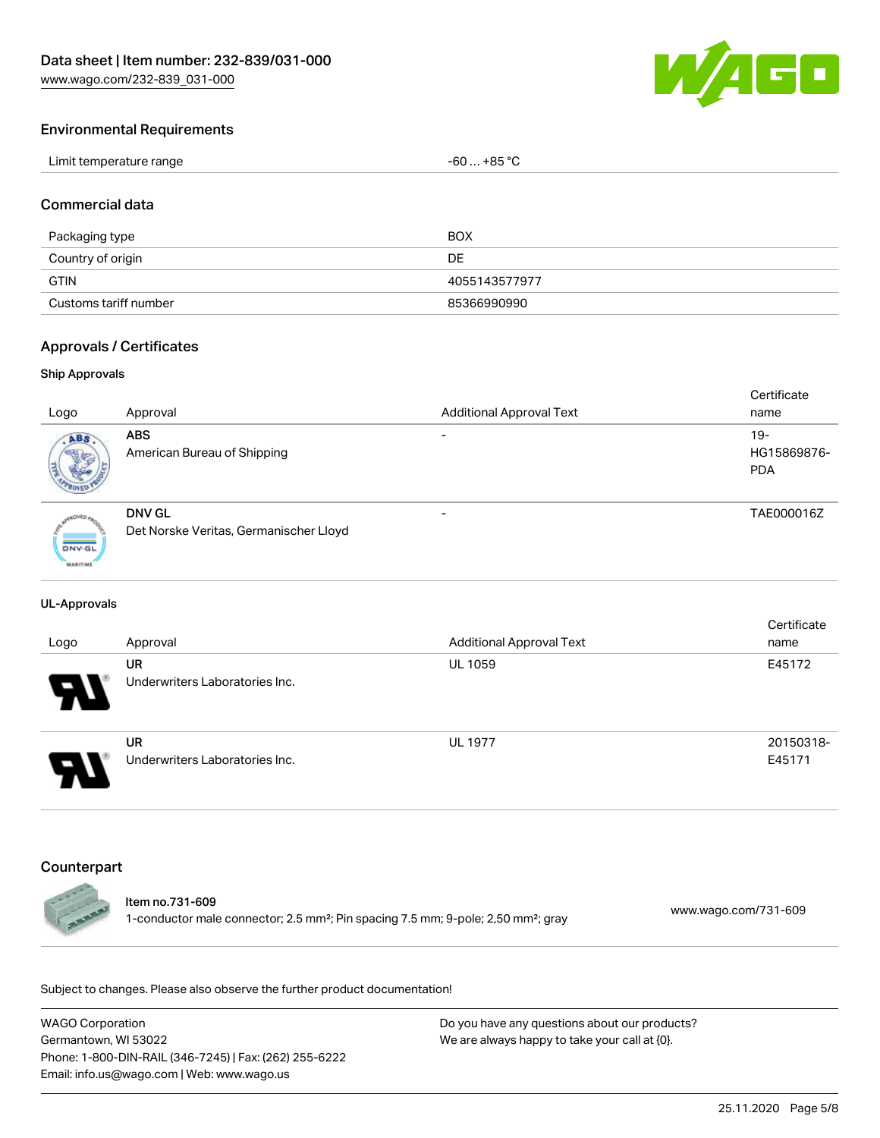[www.wago.com/232-839\\_031-000](http://www.wago.com/232-839_031-000)



## Environmental Requirements

| Limit temperature range | $-60+85 °C$ |
|-------------------------|-------------|
|                         |             |

### Commercial data

| Packaging type        | BOX           |
|-----------------------|---------------|
| Country of origin     | DE            |
| <b>GTIN</b>           | 4055143577977 |
| Customs tariff number | 85366990990   |

## Approvals / Certificates

#### Ship Approvals

|                 |                                        |                                 | Certificate |
|-----------------|----------------------------------------|---------------------------------|-------------|
| Logo            | Approval                               | <b>Additional Approval Text</b> | name        |
| ABS.            | <b>ABS</b>                             |                                 | $19 -$      |
|                 | American Bureau of Shipping            |                                 | HG15869876- |
|                 |                                        |                                 | <b>PDA</b>  |
|                 |                                        |                                 |             |
|                 | DNV GL                                 |                                 | TAE000016Z  |
|                 |                                        |                                 |             |
|                 | Det Norske Veritas, Germanischer Lloyd |                                 |             |
| <b>DNV-GL</b>   |                                        |                                 |             |
| <b>MARITIME</b> |                                        |                                 |             |

#### UL-Approvals

| Logo                       | Approval                                    | <b>Additional Approval Text</b> | Certificate<br>name |
|----------------------------|---------------------------------------------|---------------------------------|---------------------|
| $\boldsymbol{\mathcal{A}}$ | UR<br>Underwriters Laboratories Inc.        | <b>UL 1059</b>                  | E45172              |
| Э.                         | <b>UR</b><br>Underwriters Laboratories Inc. | <b>UL 1977</b>                  | 20150318-<br>E45171 |

#### Counterpart



#### Item no.731-609

1-conductor male connector; 2.5 mm²; Pin spacing 7.5 mm; 9-pole; 2,50 mm²; gray [www.wago.com/731-609](https://www.wago.com/731-609)

Subject to changes. Please also observe the further product documentation!

WAGO Corporation Germantown, WI 53022 Phone: 1-800-DIN-RAIL (346-7245) | Fax: (262) 255-6222 Email: info.us@wago.com | Web: www.wago.us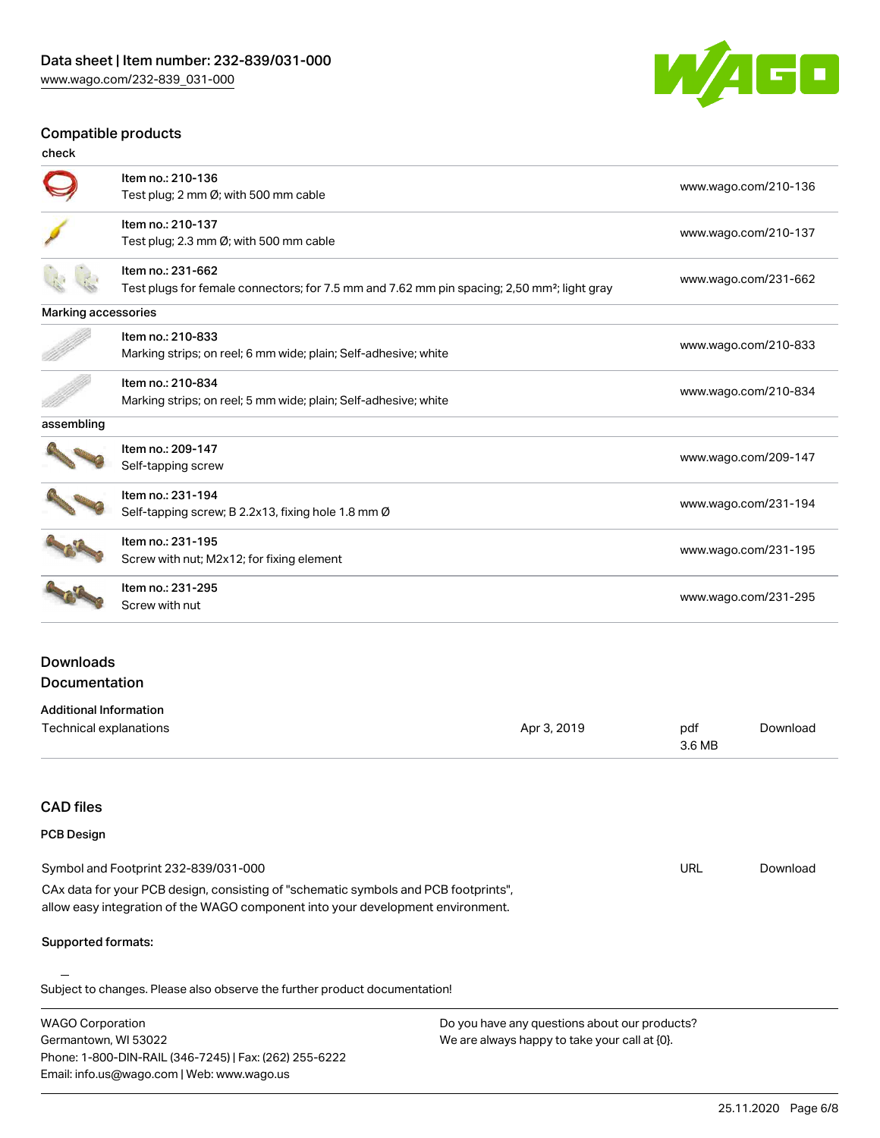Phone: 1-800-DIN-RAIL (346-7245) | Fax: (262) 255-6222

Email: info.us@wago.com | Web: www.wago.us



#### Compatible products

| check                                                                                                   | ompagpio progasta                                                               |                                               |                      |                      |
|---------------------------------------------------------------------------------------------------------|---------------------------------------------------------------------------------|-----------------------------------------------|----------------------|----------------------|
|                                                                                                         | Item no.: 210-136                                                               |                                               |                      |                      |
|                                                                                                         | Test plug; 2 mm Ø; with 500 mm cable                                            |                                               |                      | www.wago.com/210-136 |
|                                                                                                         | Item no.: 210-137                                                               |                                               |                      | www.wago.com/210-137 |
|                                                                                                         | Test plug; 2.3 mm Ø; with 500 mm cable                                          |                                               |                      |                      |
|                                                                                                         | Item no.: 231-662                                                               |                                               |                      | www.wago.com/231-662 |
| Test plugs for female connectors; for 7.5 mm and 7.62 mm pin spacing; 2,50 mm <sup>2</sup> ; light gray |                                                                                 |                                               |                      |                      |
| Marking accessories                                                                                     |                                                                                 |                                               |                      |                      |
|                                                                                                         | Item no.: 210-833                                                               |                                               |                      | www.wago.com/210-833 |
|                                                                                                         | Marking strips; on reel; 6 mm wide; plain; Self-adhesive; white                 |                                               |                      |                      |
|                                                                                                         | Item no.: 210-834                                                               |                                               |                      |                      |
|                                                                                                         | Marking strips; on reel; 5 mm wide; plain; Self-adhesive; white                 |                                               |                      | www.wago.com/210-834 |
| assembling                                                                                              |                                                                                 |                                               |                      |                      |
|                                                                                                         | Item no.: 209-147                                                               |                                               |                      |                      |
|                                                                                                         | Self-tapping screw                                                              |                                               |                      | www.wago.com/209-147 |
|                                                                                                         | Item no.: 231-194                                                               |                                               |                      |                      |
|                                                                                                         | Self-tapping screw; B 2.2x13, fixing hole 1.8 mm Ø                              |                                               |                      | www.wago.com/231-194 |
|                                                                                                         | Item no.: 231-195                                                               |                                               |                      |                      |
|                                                                                                         | Screw with nut; M2x12; for fixing element                                       |                                               |                      | www.wago.com/231-195 |
|                                                                                                         | Item no.: 231-295                                                               |                                               |                      |                      |
|                                                                                                         | Screw with nut                                                                  |                                               | www.wago.com/231-295 |                      |
|                                                                                                         |                                                                                 |                                               |                      |                      |
| <b>Downloads</b>                                                                                        |                                                                                 |                                               |                      |                      |
| Documentation                                                                                           |                                                                                 |                                               |                      |                      |
| <b>Additional Information</b>                                                                           |                                                                                 |                                               |                      |                      |
| Technical explanations                                                                                  |                                                                                 | Apr 3, 2019                                   | pdf<br>3.6 MB        | Download             |
|                                                                                                         |                                                                                 |                                               |                      |                      |
|                                                                                                         |                                                                                 |                                               |                      |                      |
| <b>CAD files</b>                                                                                        |                                                                                 |                                               |                      |                      |
| <b>PCB Design</b>                                                                                       |                                                                                 |                                               |                      |                      |
|                                                                                                         | Symbol and Footprint 232-839/031-000                                            |                                               | URL                  | Download             |
| CAx data for your PCB design, consisting of "schematic symbols and PCB footprints",                     |                                                                                 |                                               |                      |                      |
|                                                                                                         | allow easy integration of the WAGO component into your development environment. |                                               |                      |                      |
| Supported formats:                                                                                      |                                                                                 |                                               |                      |                      |
|                                                                                                         |                                                                                 |                                               |                      |                      |
|                                                                                                         | Subject to changes. Please also observe the further product documentation!      |                                               |                      |                      |
| <b>WAGO Corporation</b>                                                                                 |                                                                                 | Do you have any questions about our products? |                      |                      |
| Germantown, WI 53022                                                                                    |                                                                                 | We are always happy to take your call at {0}. |                      |                      |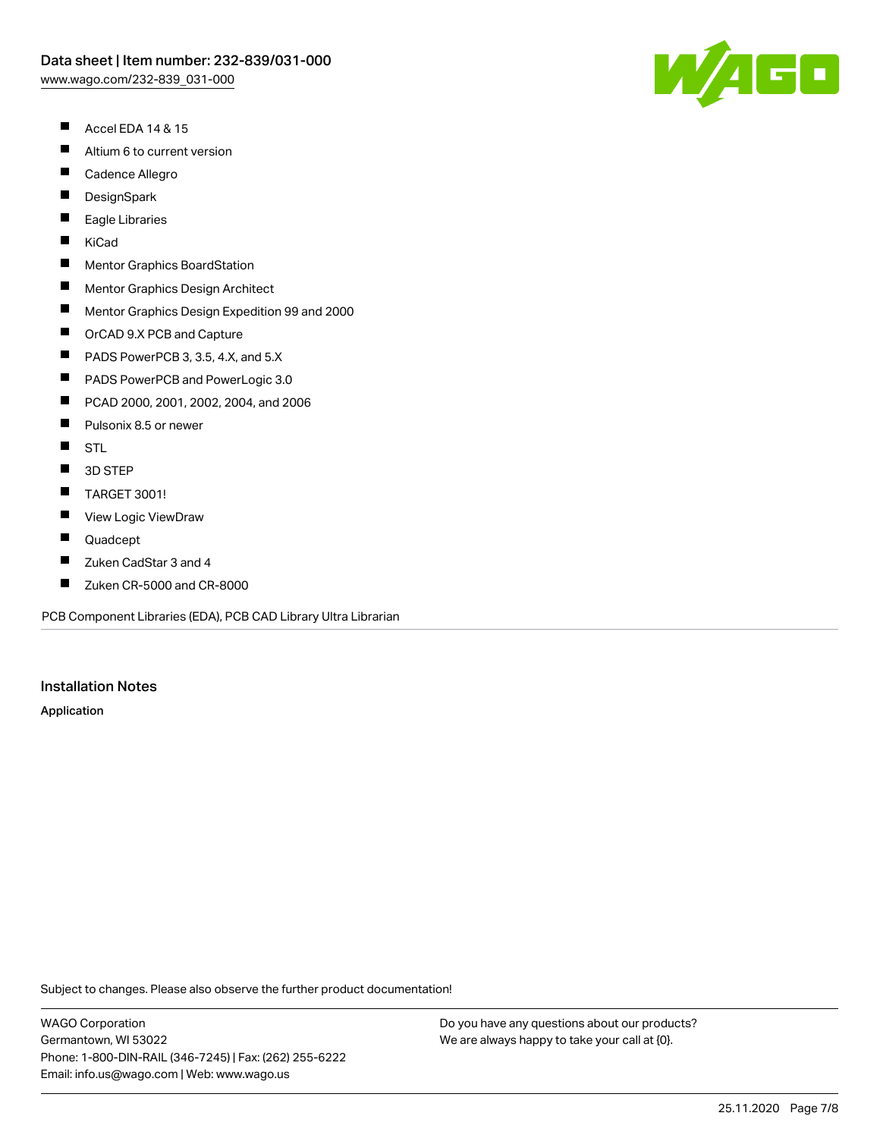- $\blacksquare$ Accel EDA 14 & 15
- $\blacksquare$ Altium 6 to current version
- $\blacksquare$ Cadence Allegro
- $\blacksquare$ **DesignSpark**
- П Eagle Libraries
- $\blacksquare$ KiCad
- $\blacksquare$ Mentor Graphics BoardStation
- $\blacksquare$ Mentor Graphics Design Architect
- $\blacksquare$ Mentor Graphics Design Expedition 99 and 2000
- $\blacksquare$ OrCAD 9.X PCB and Capture
- $\blacksquare$ PADS PowerPCB 3, 3.5, 4.X, and 5.X
- $\blacksquare$ PADS PowerPCB and PowerLogic 3.0
- $\blacksquare$ PCAD 2000, 2001, 2002, 2004, and 2006
- $\blacksquare$ Pulsonix 8.5 or newer
- $\blacksquare$ **STL**
- $\blacksquare$ 3D STEP
- $\blacksquare$ TARGET 3001!
- $\blacksquare$ View Logic ViewDraw
- $\blacksquare$ Quadcept
- П Zuken CadStar 3 and 4
- $\blacksquare$ Zuken CR-5000 and CR-8000

PCB Component Libraries (EDA), PCB CAD Library Ultra Librarian

#### Installation Notes

Application

Subject to changes. Please also observe the further product documentation!

WAGO Corporation Germantown, WI 53022 Phone: 1-800-DIN-RAIL (346-7245) | Fax: (262) 255-6222 Email: info.us@wago.com | Web: www.wago.us